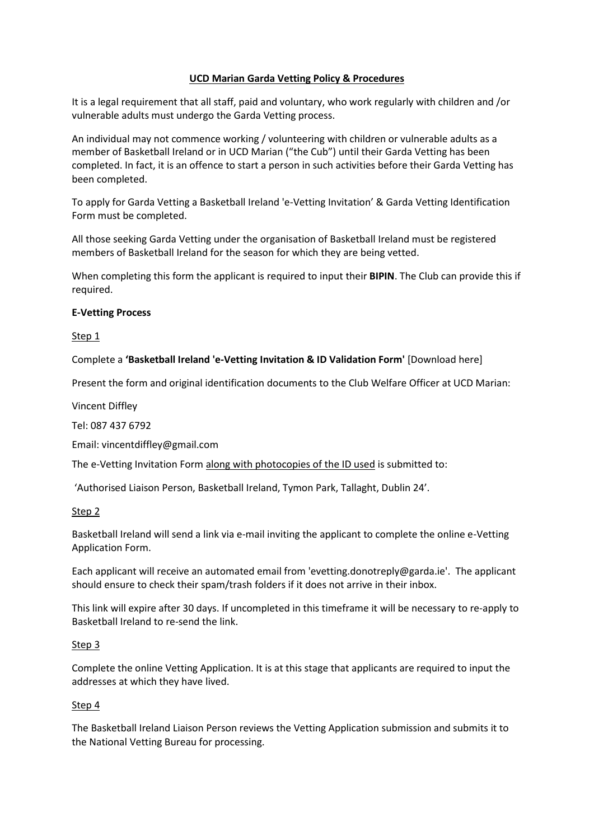### **UCD Marian Garda Vetting Policy & Procedures**

It is a legal requirement that all staff, paid and voluntary, who work regularly with children and /or vulnerable adults must undergo the Garda Vetting process.

An individual may not commence working / volunteering with children or vulnerable adults as a member of Basketball Ireland or in UCD Marian ("the Cub") until their Garda Vetting has been completed. In fact, it is an offence to start a person in such activities before their Garda Vetting has been completed.

To apply for Garda Vetting a Basketball Ireland 'e-Vetting Invitation' & Garda Vetting Identification Form must be completed.

All those seeking Garda Vetting under the organisation of Basketball Ireland must be registered members of Basketball Ireland for the season for which they are being vetted.

When completing this form the applicant is required to input their **BIPIN**. The Club can provide this if required.

#### **E-Vetting Process**

Step 1

Complete a **'Basketball Ireland 'e-Vetting Invitation & ID Validation Form'** [Download here]

Present the form and original identification documents to the Club Welfare Officer at UCD Marian:

Vincent Diffley

Tel: 087 437 6792

Email: vincentdiffley@gmail.com

The e-Vetting Invitation Form along with photocopies of the ID used is submitted to:

'Authorised Liaison Person, Basketball Ireland, Tymon Park, Tallaght, Dublin 24'.

Step 2

Basketball Ireland will send a link via e-mail inviting the applicant to complete the online e-Vetting Application Form.

Each applicant will receive an automated email from 'evetting.donotreply@garda.ie'. The applicant should ensure to check their spam/trash folders if it does not arrive in their inbox.

This link will expire after 30 days. If uncompleted in this timeframe it will be necessary to re-apply to Basketball Ireland to re-send the link.

#### Step 3

Complete the online Vetting Application. It is at this stage that applicants are required to input the addresses at which they have lived.

## Step 4

The Basketball Ireland Liaison Person reviews the Vetting Application submission and submits it to the National Vetting Bureau for processing.